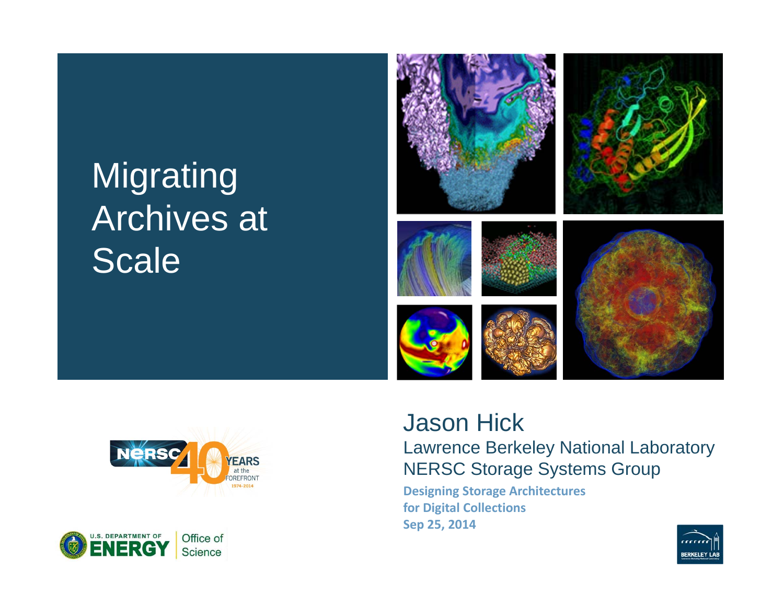# **Migrating** Archives at **Scale**







#### Jason Hick Lawrence Berkeley National Laboratory NERSC Storage Systems Group

**Designing Storage Architectures for Digital Collections Sep 25, 2014**

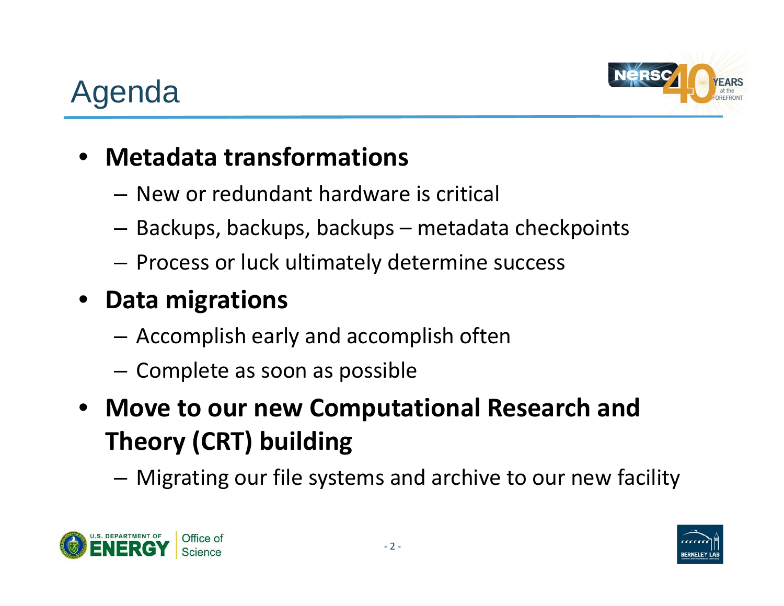

#### •**Metadata transformations**

- New or redundant hardware is critical
- –Backups, backups, backups – metadata checkpoints
- – $-$  Process or luck ultimately determine success

#### •**Data migrations**

- –Accomplish early and accomplish often
- – $-$  Complete as soon as possible
- • **Move to our new Computational Research and Theory (CRT) building**

Migrating our file systems and archive to our new facility



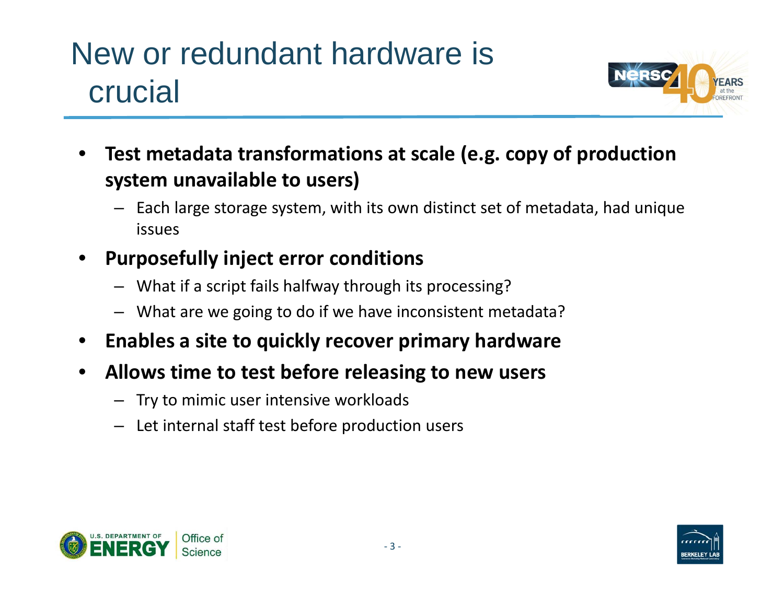## New or redundant hardware is crucial



- • **Test metadata transformations at scale (e.g. copy of production system unavailable to users)**
	- Each large storage system, with its own distinct set of metadata, had unique issues
- • **Purposefully inject error conditions**
	- What if a script fails halfway through its processing?
	- What are we going to do if we have inconsistent metadata?
- •**Enables a site to quickly recover primary hardware**
- $\bullet$  **Allows time to test before releasing to new users**
	- Try to mimic user intensive workloads
	- Let internal staff test before production users



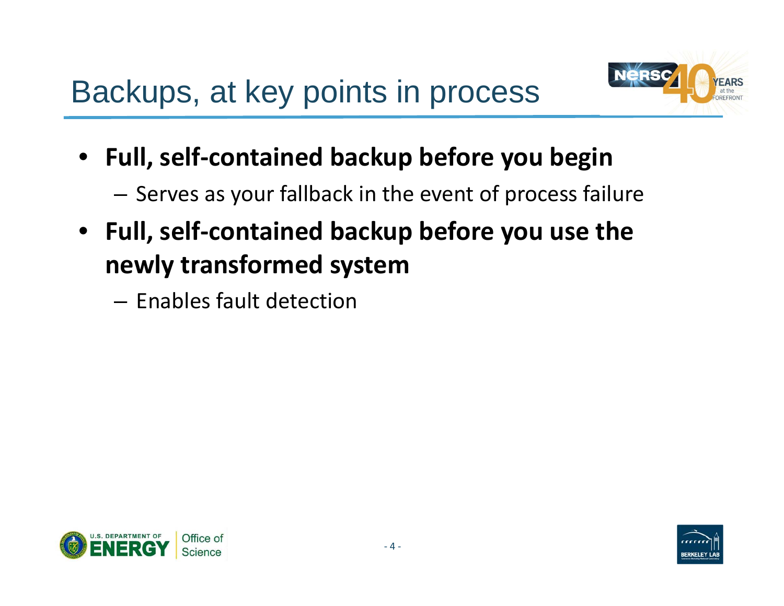

- • **Full, self ‐contained backup before you begin**
	- – $-$  Serves as your fallback in the event of process failure
- **Full, self ‐contained backup before you use the newly transformed system**
	- Enables fault detection



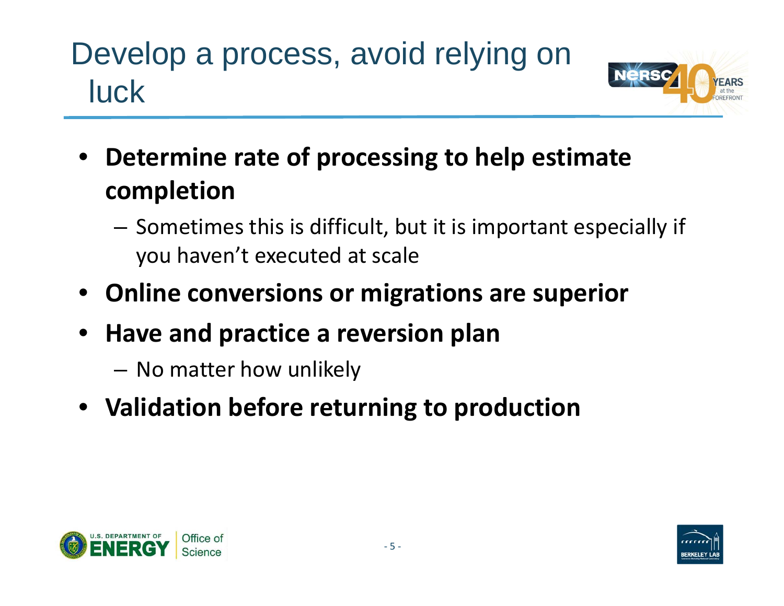# Develop a process, avoid relying on luck



- **Determine rate of processing to help estimate completion**
	- $-$  Sometimes this is difficult, but it is important especially if you haven't executed at scale
- **Online conversions or migrations are superior**
- • **Have and practice a reversion plan**
	- No matter how unlikely
- **Validation before returning to production**



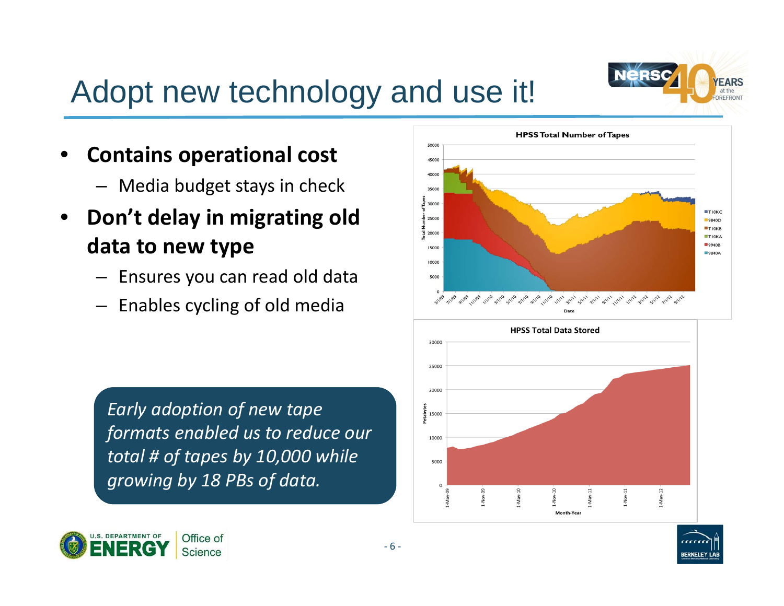

### Adopt new technology and use it!

- • **Contains operational cost**
	- Media budget stays in check
- $\bullet$  **Don't delay in migrating old data to new type**
	- Ensures you can read old data
	- Enables cycling of old media

*Early adoption of new tape formats enabled us to reduce our total # of tapes by 10,000 while growing by 18 PBs of data.*



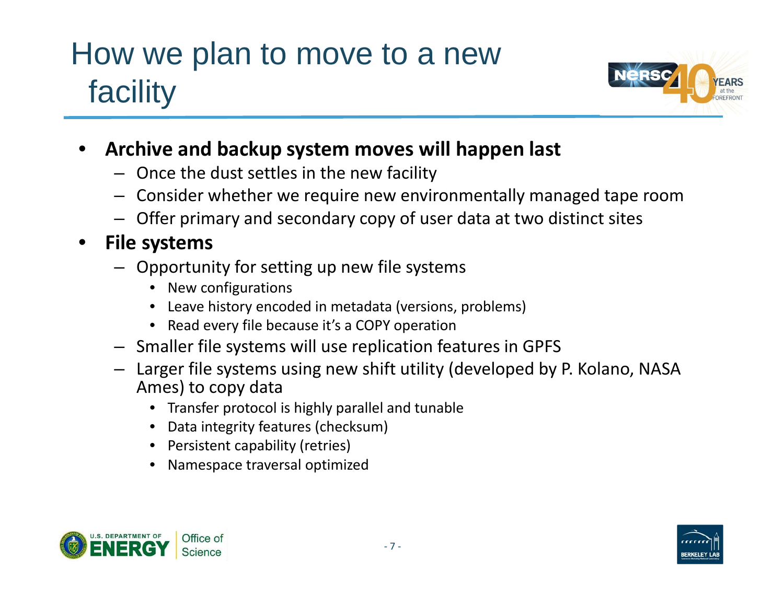## How we plan to move to a new facility



- • **Archive and backup system moves will happen last**
	- Once the dust settles in the new facility
	- Consider whether we require new environmentally managed tape room
	- Offer primary and secondary copy of user data at two distinct sites

#### $\bullet$ **File systems**

- Opportunity for setting up new file systems
	- New configurations
	- Leave history encoded in metadata (versions, problems)
	- Read every file because it's a COPY operation
- Smaller file systems will use replication features in GPFS
- Larger file systems using new shift utility (developed by P. Kolano, NASA Ames) to copy data
	- Transfer protocol is highly parallel and tunable
	- Data integrity features (checksum)
	- Persistent capability (retries)
	- •Namespace traversal optimized



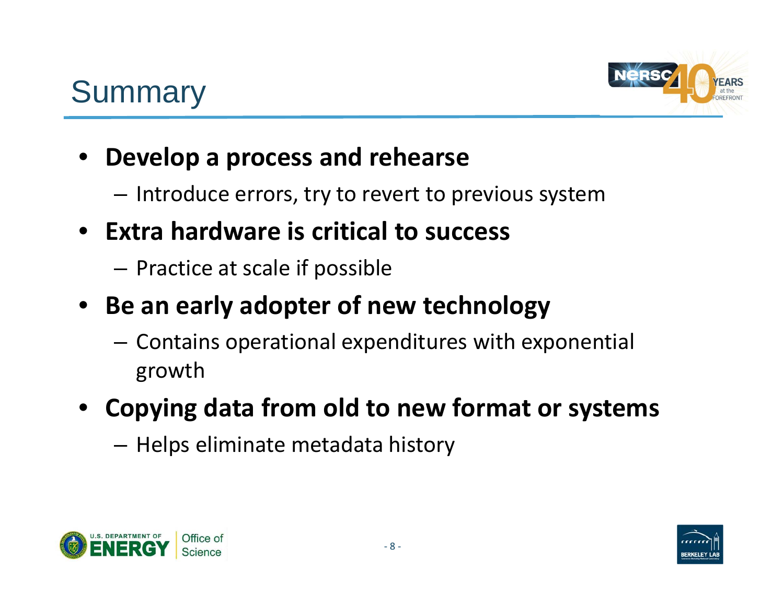

#### • **Develop <sup>a</sup> process and rehearse**

- – $-$  Introduce errors, try to revert to previous system
- **Extra hardware is critical to success**
	- $-$  Practice at scale if possible
- **Be an early adopter of new technology**
	- $-$  Contains operational expenditures with exponential growth
- **Copying data from old to new format or systems**
	- Helps eliminate metadata history